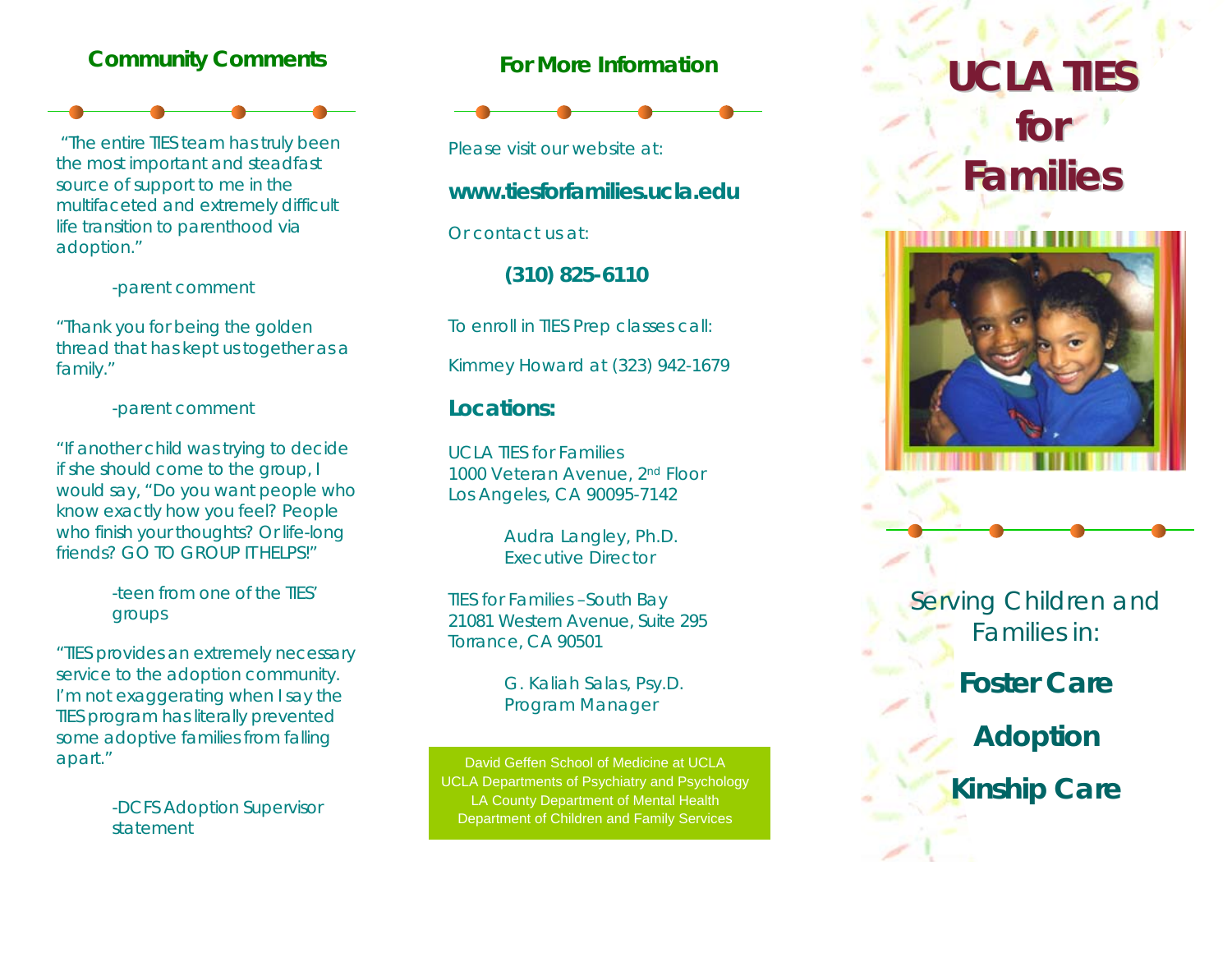### **Community Comments**



 "The entire TIES team has truly been the most important and steadfast source of support to me in the multifaceted and extremely difficult life transition to parenthood via adoption."

-parent comment

"Thank you for being the golden thread that has kept us together as a family."

-parent comment

"If another child was trying to decide if she should come to the group, I would say, "Do you want people who know exactly how you feel? People who finish your thoughts? Or life-long friends? GO TO GROUP IT HELPS!"

> -teen from one of the TIES' groups

"TIES provides an extremely necessary service to the adoption community. I'm not exaggerating when I say the TIES program has literally prevented some adoptive families from falling apart."

> -DCFS Adoption Supervisor statement

#### **For More Information**



Please visit our website at:

#### **www.tiesforfamilies.ucla.edu**

Or contact us at:

**(310) 825-6110** 

To enroll in TIES Prep classes call:

Kimmey Howard at (323) 942-1679

#### **Locations:**

UCLA TIES for Families 1000 Veteran Avenue, 2nd Floor Los Angeles, CA 90095-7142

> Audra Langley, Ph.D. Executive Director

TIES for Families –South Bay 21081 Western Avenue, Suite 295 Torrance, CA 90501

> G. Kaliah Salas, Psy.D. Program Manager

David Geffen School of Medicine at UCLA UCLA Departments of Psychiatry and Psychology LA County Department of Mental Health Department of Children and Family Services

# **UCL ATIE S fo r Families**



Serving Children and Families in:

## **Foster Care**

**Adoption** 

**Kinship Care**